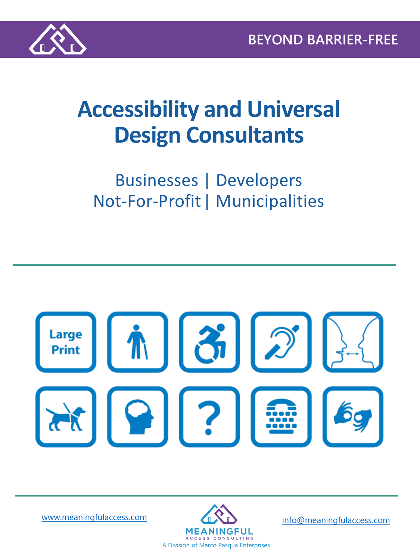

# **Accessibility and Universal Design Consultants**

## Businesses | Developers Not-For-Profit| Municipalities



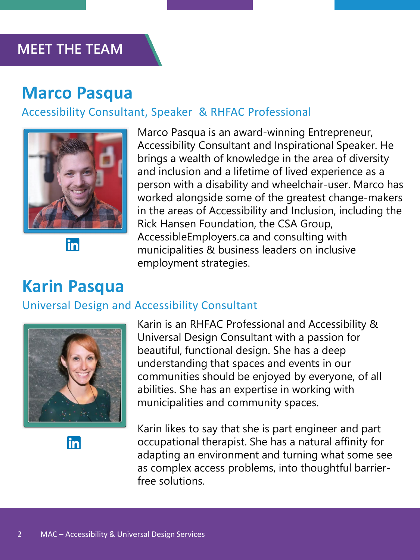#### **MEET THE TEAM**

### **Marco Pasqua**

#### Accessibility Consultant, Speaker & RHFAC Professional



Marco Pasqua is an award-winning Entrepreneur, Accessibility Consultant and Inspirational Speaker. He brings a wealth of knowledge in the area of diversity and inclusion and a lifetime of lived experience as a person with a disability and wheelchair-user. Marco has worked alongside some of the greatest change-makers in the areas of Accessibility and Inclusion, including the Rick Hansen Foundation, the CSA Group, AccessibleEmployers.ca and consulting with municipalities & business leaders on inclusive employment strategies.

### **Karin Pasqua**

#### Universal Design and Accessibility Consultant



Karin is an RHFAC Professional and Accessibility & Universal Design Consultant with a passion for beautiful, functional design. She has a deep understanding that spaces and events in our communities should be enjoyed by everyone, of all abilities. She has an expertise in working with municipalities and community spaces.

in

Karin likes to say that she is part engineer and part occupational therapist. She has a natural affinity for adapting an environment and turning what some see as complex access problems, into thoughtful barrierfree solutions.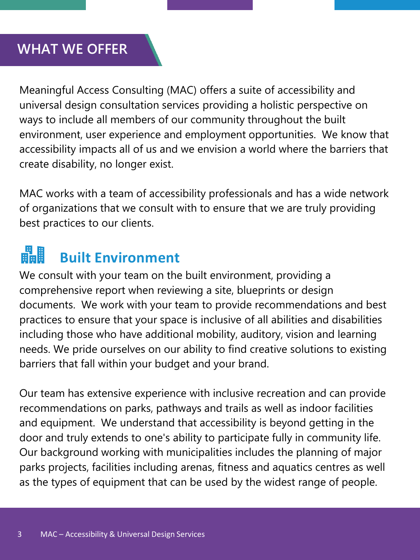### **WHAT WE OFFER**

Meaningful Access Consulting (MAC) offers a suite of accessibility and universal design consultation services providing a holistic perspective on ways to include all members of our community throughout the built environment, user experience and employment opportunities. We know that accessibility impacts all of us and we envision a world where the barriers that create disability, no longer exist.

MAC works with a team of accessibility professionals and has a wide network of organizations that we consult with to ensure that we are truly providing best practices to our clients.

#### 畾 **Built Environment**

We consult with your team on the built environment, providing a comprehensive report when reviewing a site, blueprints or design documents. We work with your team to provide recommendations and best practices to ensure that your space is inclusive of all abilities and disabilities including those who have additional mobility, auditory, vision and learning needs. We pride ourselves on our ability to find creative solutions to existing barriers that fall within your budget and your brand.

Our team has extensive experience with inclusive recreation and can provide recommendations on parks, pathways and trails as well as indoor facilities and equipment. We understand that accessibility is beyond getting in the door and truly extends to one's ability to participate fully in community life. Our background working with municipalities includes the planning of major parks projects, facilities including arenas, fitness and aquatics centres as well as the types of equipment that can be used by the widest range of people.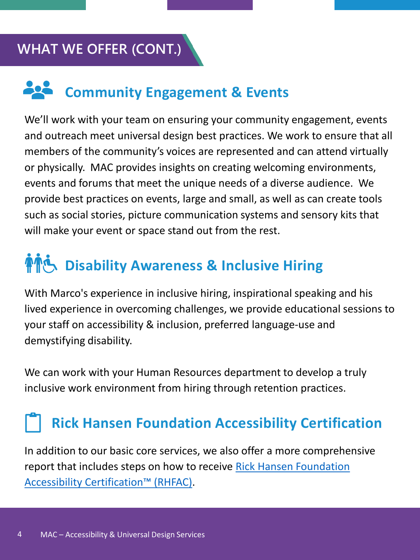### **WHAT WE OFFER (CONT.)**

# **Community Engagement & Events**

We'll work with your team on ensuring your community engagement, events and outreach meet universal design best practices. We work to ensure that all members of the community's voices are represented and can attend virtually or physically. MAC provides insights on creating welcoming environments, events and forums that meet the unique needs of a diverse audience. We provide best practices on events, large and small, as well as can create tools such as social stories, picture communication systems and sensory kits that will make your event or space stand out from the rest.

# **And Disability Awareness & Inclusive Hiring**

With Marco's experience in inclusive hiring, inspirational speaking and his lived experience in overcoming challenges, we provide educational sessions to your staff on accessibility & inclusion, preferred language-use and demystifying disability.

We can work with your Human Resources department to develop a truly inclusive work environment from hiring through retention practices.

## **Rick Hansen Foundation Accessibility Certification**

In addition to our basic core services, we also offer a more comprehensive [report that includes steps on how to receive Rick Hansen Foundation](http://www.rickhansen.com/rhfac)  Accessibility Certification™ (RHFAC).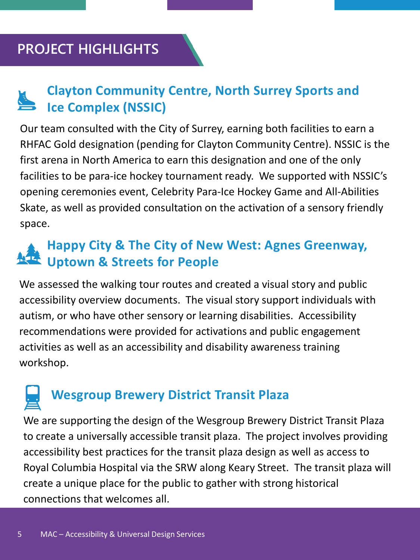### **PROJECT HIGHLIGHTS**

### **Clayton Community Centre, North Surrey Sports and Ice Complex (NSSIC)**

Our team consulted with the City of Surrey, earning both facilities to earn a RHFAC Gold designation (pending for Clayton Community Centre). NSSIC is the first arena in North America to earn this designation and one of the only facilities to be para-ice hockey tournament ready. We supported with NSSIC's opening ceremonies event, Celebrity Para-Ice Hockey Game and All-Abilities Skate, as well as provided consultation on the activation of a sensory friendly space.

### **Happy City & The City of New West: Agnes Greenway, Uptown & Streets for People**

We assessed the walking tour routes and created a visual story and public accessibility overview documents. The visual story support individuals with autism, or who have other sensory or learning disabilities. Accessibility recommendations were provided for activations and public engagement activities as well as an accessibility and disability awareness training workshop.

## **Wesgroup Brewery District Transit Plaza**

We are supporting the design of the Wesgroup Brewery District Transit Plaza to create a universally accessible transit plaza. The project involves providing accessibility best practices for the transit plaza design as well as access to Royal Columbia Hospital via the SRW along Keary Street. The transit plaza will create a unique place for the public to gather with strong historical connections that welcomes all.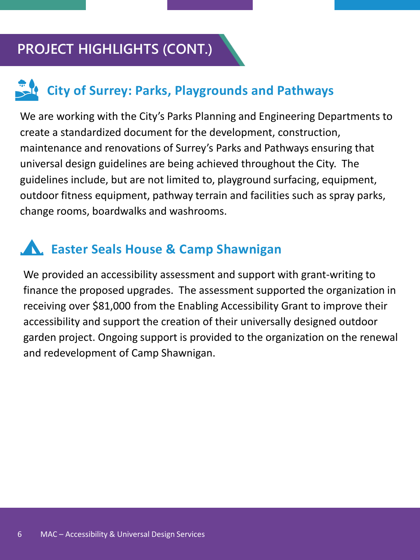### **PROJECT HIGHLIGHTS (CONT.)**

### **City of Surrey: Parks, Playgrounds and Pathways**

We are working with the City's Parks Planning and Engineering Departments to create a standardized document for the development, construction, maintenance and renovations of Surrey's Parks and Pathways ensuring that universal design guidelines are being achieved throughout the City. The guidelines include, but are not limited to, playground surfacing, equipment, outdoor fitness equipment, pathway terrain and facilities such as spray parks, change rooms, boardwalks and washrooms.

### **Easter Seals House & Camp Shawnigan**

We provided an accessibility assessment and support with grant-writing to finance the proposed upgrades. The assessment supported the organization in receiving over \$81,000 from the Enabling Accessibility Grant to improve their accessibility and support the creation of their universally designed outdoor garden project. Ongoing support is provided to the organization on the renewal and redevelopment of Camp Shawnigan.